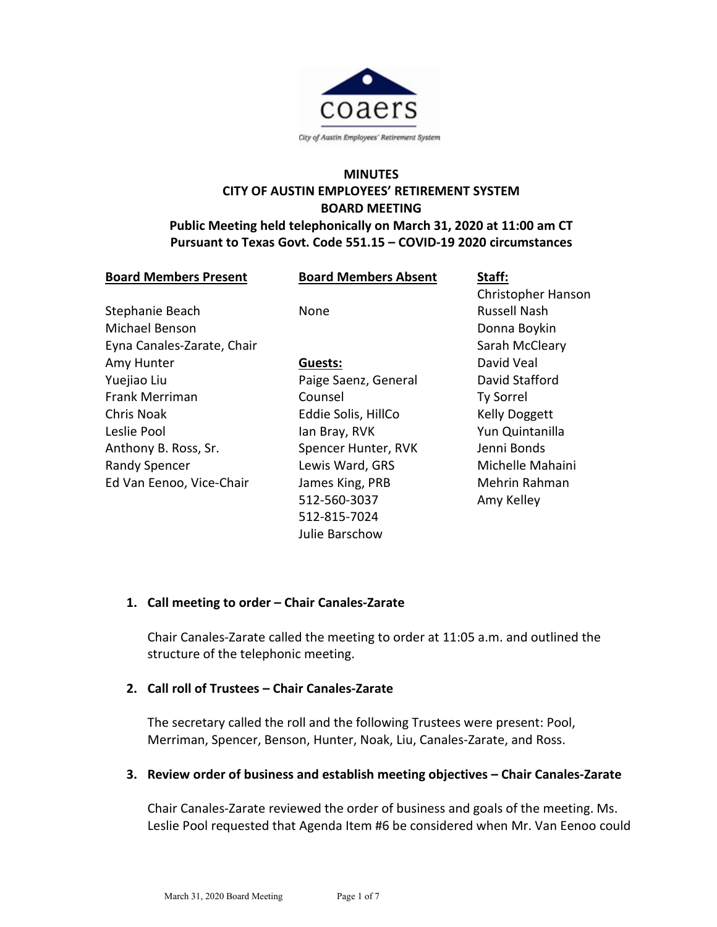

# **MINUTES CITY OF AUSTIN EMPLOYEES' RETIREMENT SYSTEM BOARD MEETING**

### **Public Meeting held telephonically on March 31, 2020 at 11:00 am CT Pursuant to Texas Govt. Code 551.15 – COVID-19 2020 circumstances**

| <b>Board Members Present</b> | <b>Board Members Absent</b> | Staff:               |
|------------------------------|-----------------------------|----------------------|
|                              |                             | Christopher Hanson   |
| Stephanie Beach              | None                        | <b>Russell Nash</b>  |
| Michael Benson               |                             | Donna Boykin         |
| Eyna Canales-Zarate, Chair   |                             | Sarah McCleary       |
| Amy Hunter                   | Guests:                     | David Veal           |
| Yuejiao Liu                  | Paige Saenz, General        | David Stafford       |
| Frank Merriman               | Counsel                     | <b>Ty Sorrel</b>     |
| <b>Chris Noak</b>            | Eddie Solis, HillCo         | <b>Kelly Doggett</b> |
| Leslie Pool                  | lan Bray, RVK               | Yun Quintanilla      |
| Anthony B. Ross, Sr.         | Spencer Hunter, RVK         | Jenni Bonds          |
| <b>Randy Spencer</b>         | Lewis Ward, GRS             | Michelle Mahaini     |
| Ed Van Eenoo, Vice-Chair     | James King, PRB             | Mehrin Rahman        |
|                              | 512-560-3037                | Amy Kelley           |
|                              | 512-815-7024                |                      |
|                              | Julie Barschow              |                      |

### **1. Call meeting to order – Chair Canales-Zarate**

Chair Canales-Zarate called the meeting to order at 11:05 a.m. and outlined the structure of the telephonic meeting.

# **2. Call roll of Trustees – Chair Canales-Zarate**

The secretary called the roll and the following Trustees were present: Pool, Merriman, Spencer, Benson, Hunter, Noak, Liu, Canales-Zarate, and Ross.

### **3. Review order of business and establish meeting objectives – Chair Canales-Zarate**

Chair Canales-Zarate reviewed the order of business and goals of the meeting. Ms. Leslie Pool requested that Agenda Item #6 be considered when Mr. Van Eenoo could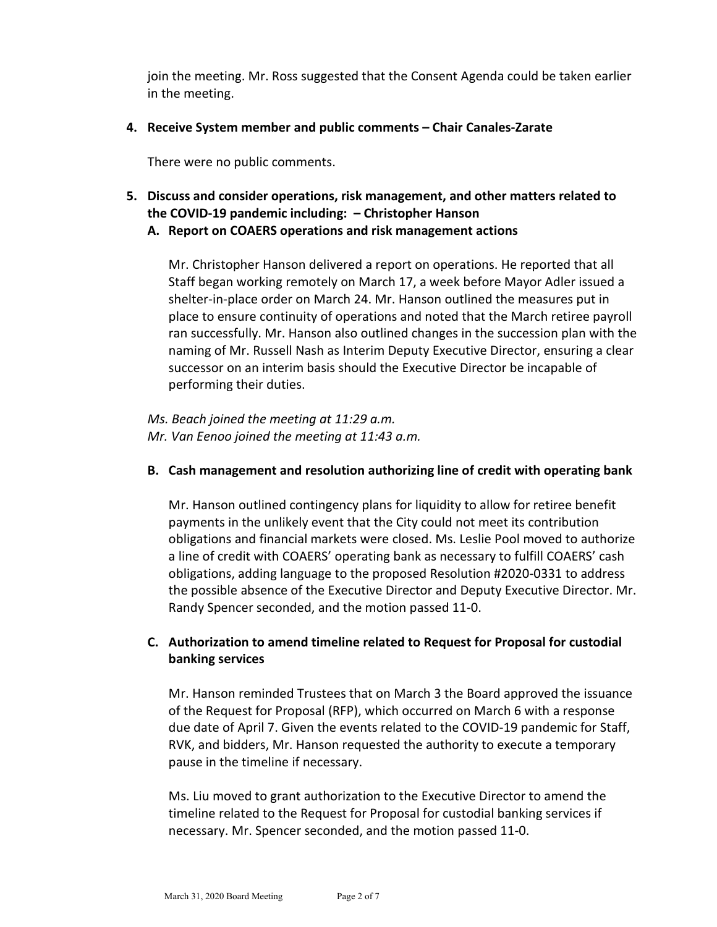join the meeting. Mr. Ross suggested that the Consent Agenda could be taken earlier in the meeting.

**4. Receive System member and public comments – Chair Canales-Zarate**

There were no public comments.

- **5. Discuss and consider operations, risk management, and other matters related to the COVID-19 pandemic including: – Christopher Hanson**
	- **A. Report on COAERS operations and risk management actions**

Mr. Christopher Hanson delivered a report on operations. He reported that all Staff began working remotely on March 17, a week before Mayor Adler issued a shelter-in-place order on March 24. Mr. Hanson outlined the measures put in place to ensure continuity of operations and noted that the March retiree payroll ran successfully. Mr. Hanson also outlined changes in the succession plan with the naming of Mr. Russell Nash as Interim Deputy Executive Director, ensuring a clear successor on an interim basis should the Executive Director be incapable of performing their duties.

*Ms. Beach joined the meeting at 11:29 a.m. Mr. Van Eenoo joined the meeting at 11:43 a.m.*

# **B. Cash management and resolution authorizing line of credit with operating bank**

Mr. Hanson outlined contingency plans for liquidity to allow for retiree benefit payments in the unlikely event that the City could not meet its contribution obligations and financial markets were closed. Ms. Leslie Pool moved to authorize a line of credit with COAERS' operating bank as necessary to fulfill COAERS' cash obligations, adding language to the proposed Resolution #2020-0331 to address the possible absence of the Executive Director and Deputy Executive Director. Mr. Randy Spencer seconded, and the motion passed 11-0.

# **C. Authorization to amend timeline related to Request for Proposal for custodial banking services**

Mr. Hanson reminded Trustees that on March 3 the Board approved the issuance of the Request for Proposal (RFP), which occurred on March 6 with a response due date of April 7. Given the events related to the COVID-19 pandemic for Staff, RVK, and bidders, Mr. Hanson requested the authority to execute a temporary pause in the timeline if necessary.

Ms. Liu moved to grant authorization to the Executive Director to amend the timeline related to the Request for Proposal for custodial banking services if necessary. Mr. Spencer seconded, and the motion passed 11-0.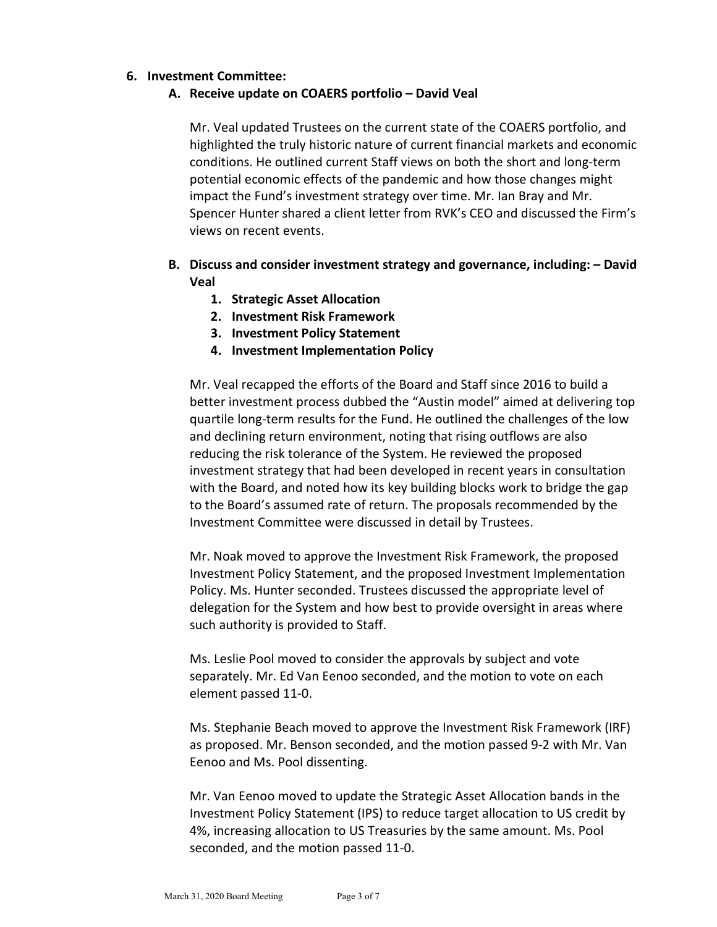### **6. Investment Committee:**

### **A. Receive update on COAERS portfolio – David Veal**

Mr. Veal updated Trustees on the current state of the COAERS portfolio, and highlighted the truly historic nature of current financial markets and economic conditions. He outlined current Staff views on both the short and long-term potential economic effects of the pandemic and how those changes might impact the Fund's investment strategy over time. Mr. Ian Bray and Mr. Spencer Hunter shared a client letter from RVK's CEO and discussed the Firm's views on recent events.

# **B. Discuss and consider investment strategy and governance, including: – David Veal**

- **1. Strategic Asset Allocation**
- **2. Investment Risk Framework**
- **3. Investment Policy Statement**
- **4. Investment Implementation Policy**

Mr. Veal recapped the efforts of the Board and Staff since 2016 to build a better investment process dubbed the "Austin model" aimed at delivering top quartile long-term results for the Fund. He outlined the challenges of the low and declining return environment, noting that rising outflows are also reducing the risk tolerance of the System. He reviewed the proposed investment strategy that had been developed in recent years in consultation with the Board, and noted how its key building blocks work to bridge the gap to the Board's assumed rate of return. The proposals recommended by the Investment Committee were discussed in detail by Trustees.

Mr. Noak moved to approve the Investment Risk Framework, the proposed Investment Policy Statement, and the proposed Investment Implementation Policy. Ms. Hunter seconded. Trustees discussed the appropriate level of delegation for the System and how best to provide oversight in areas where such authority is provided to Staff.

Ms. Leslie Pool moved to consider the approvals by subject and vote separately. Mr. Ed Van Eenoo seconded, and the motion to vote on each element passed 11-0.

Ms. Stephanie Beach moved to approve the Investment Risk Framework (IRF) as proposed. Mr. Benson seconded, and the motion passed 9-2 with Mr. Van Eenoo and Ms. Pool dissenting.

Mr. Van Eenoo moved to update the Strategic Asset Allocation bands in the Investment Policy Statement (IPS) to reduce target allocation to US credit by 4%, increasing allocation to US Treasuries by the same amount. Ms. Pool seconded, and the motion passed 11-0.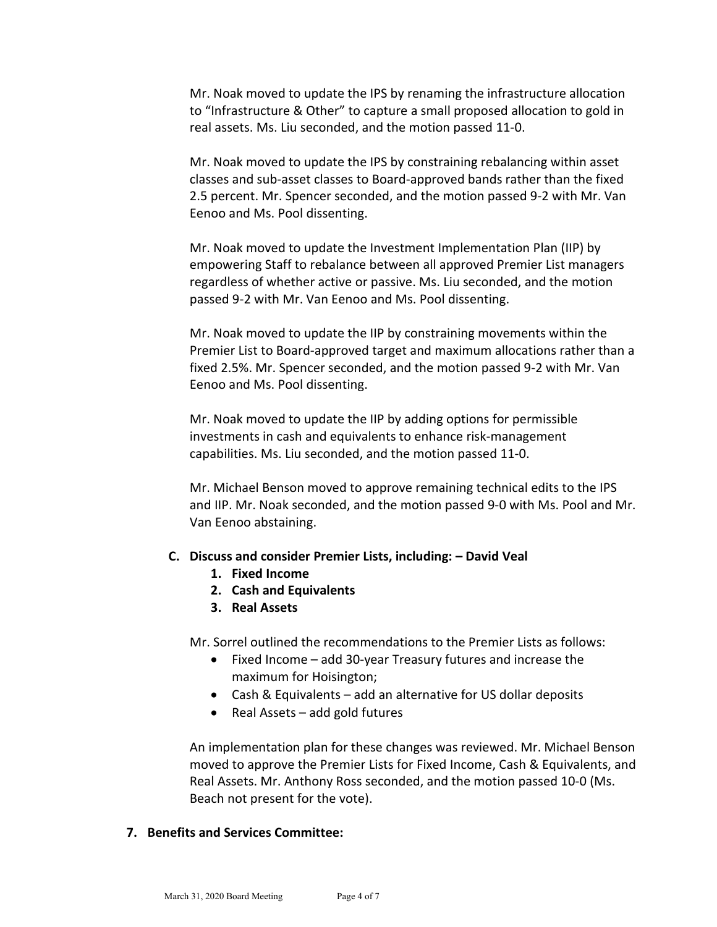Mr. Noak moved to update the IPS by renaming the infrastructure allocation to "Infrastructure & Other" to capture a small proposed allocation to gold in real assets. Ms. Liu seconded, and the motion passed 11-0.

Mr. Noak moved to update the IPS by constraining rebalancing within asset classes and sub-asset classes to Board-approved bands rather than the fixed 2.5 percent. Mr. Spencer seconded, and the motion passed 9-2 with Mr. Van Eenoo and Ms. Pool dissenting.

Mr. Noak moved to update the Investment Implementation Plan (IIP) by empowering Staff to rebalance between all approved Premier List managers regardless of whether active or passive. Ms. Liu seconded, and the motion passed 9-2 with Mr. Van Eenoo and Ms. Pool dissenting.

Mr. Noak moved to update the IIP by constraining movements within the Premier List to Board-approved target and maximum allocations rather than a fixed 2.5%. Mr. Spencer seconded, and the motion passed 9-2 with Mr. Van Eenoo and Ms. Pool dissenting.

Mr. Noak moved to update the IIP by adding options for permissible investments in cash and equivalents to enhance risk-management capabilities. Ms. Liu seconded, and the motion passed 11-0.

Mr. Michael Benson moved to approve remaining technical edits to the IPS and IIP. Mr. Noak seconded, and the motion passed 9-0 with Ms. Pool and Mr. Van Eenoo abstaining.

#### **C. Discuss and consider Premier Lists, including: – David Veal**

- **1. Fixed Income**
- **2. Cash and Equivalents**
- **3. Real Assets**

Mr. Sorrel outlined the recommendations to the Premier Lists as follows:

- Fixed Income add 30-year Treasury futures and increase the maximum for Hoisington;
- Cash & Equivalents add an alternative for US dollar deposits
- Real Assets add gold futures

An implementation plan for these changes was reviewed. Mr. Michael Benson moved to approve the Premier Lists for Fixed Income, Cash & Equivalents, and Real Assets. Mr. Anthony Ross seconded, and the motion passed 10-0 (Ms. Beach not present for the vote).

### **7. Benefits and Services Committee:**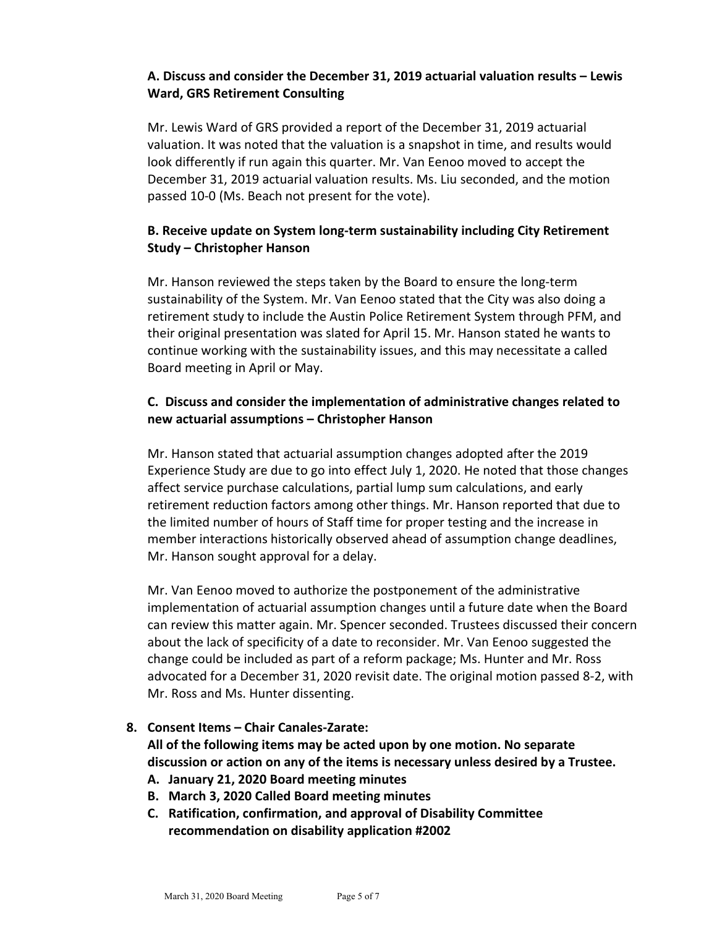# **A. Discuss and consider the December 31, 2019 actuarial valuation results – Lewis Ward, GRS Retirement Consulting**

Mr. Lewis Ward of GRS provided a report of the December 31, 2019 actuarial valuation. It was noted that the valuation is a snapshot in time, and results would look differently if run again this quarter. Mr. Van Eenoo moved to accept the December 31, 2019 actuarial valuation results. Ms. Liu seconded, and the motion passed 10-0 (Ms. Beach not present for the vote).

# **B. Receive update on System long-term sustainability including City Retirement Study – Christopher Hanson**

Mr. Hanson reviewed the steps taken by the Board to ensure the long-term sustainability of the System. Mr. Van Eenoo stated that the City was also doing a retirement study to include the Austin Police Retirement System through PFM, and their original presentation was slated for April 15. Mr. Hanson stated he wants to continue working with the sustainability issues, and this may necessitate a called Board meeting in April or May.

# **C. Discuss and consider the implementation of administrative changes related to new actuarial assumptions – Christopher Hanson**

Mr. Hanson stated that actuarial assumption changes adopted after the 2019 Experience Study are due to go into effect July 1, 2020. He noted that those changes affect service purchase calculations, partial lump sum calculations, and early retirement reduction factors among other things. Mr. Hanson reported that due to the limited number of hours of Staff time for proper testing and the increase in member interactions historically observed ahead of assumption change deadlines, Mr. Hanson sought approval for a delay.

Mr. Van Eenoo moved to authorize the postponement of the administrative implementation of actuarial assumption changes until a future date when the Board can review this matter again. Mr. Spencer seconded. Trustees discussed their concern about the lack of specificity of a date to reconsider. Mr. Van Eenoo suggested the change could be included as part of a reform package; Ms. Hunter and Mr. Ross advocated for a December 31, 2020 revisit date. The original motion passed 8-2, with Mr. Ross and Ms. Hunter dissenting.

### **8. Consent Items – Chair Canales-Zarate:**

**All of the following items may be acted upon by one motion. No separate discussion or action on any of the items is necessary unless desired by a Trustee.**

- **A. January 21, 2020 Board meeting minutes**
- **B. March 3, 2020 Called Board meeting minutes**
- **C. Ratification, confirmation, and approval of Disability Committee recommendation on disability application #2002**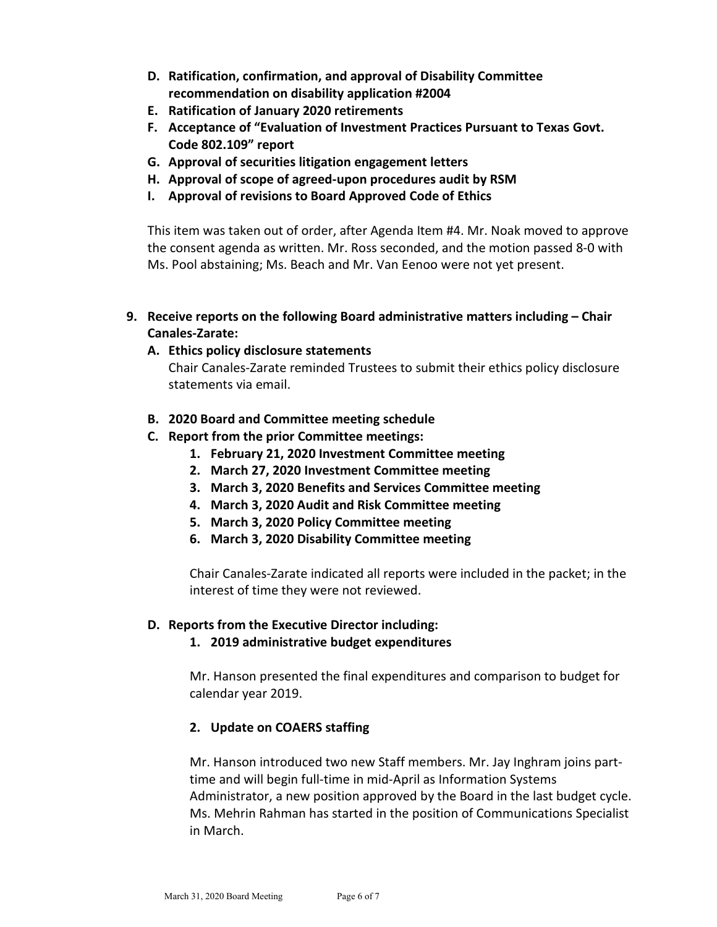- **D. Ratification, confirmation, and approval of Disability Committee recommendation on disability application #2004**
- **E. Ratification of January 2020 retirements**
- **F. Acceptance of "Evaluation of Investment Practices Pursuant to Texas Govt. Code 802.109" report**
- **G. Approval of securities litigation engagement letters**
- **H. Approval of scope of agreed-upon procedures audit by RSM**
- **I. Approval of revisions to Board Approved Code of Ethics**

This item was taken out of order, after Agenda Item #4. Mr. Noak moved to approve the consent agenda as written. Mr. Ross seconded, and the motion passed 8-0 with Ms. Pool abstaining; Ms. Beach and Mr. Van Eenoo were not yet present.

- **9. Receive reports on the following Board administrative matters including – Chair Canales-Zarate:**
	- **A. Ethics policy disclosure statements**

Chair Canales-Zarate reminded Trustees to submit their ethics policy disclosure statements via email.

- **B. 2020 Board and Committee meeting schedule**
- **C. Report from the prior Committee meetings:**
	- **1. February 21, 2020 Investment Committee meeting**
	- **2. March 27, 2020 Investment Committee meeting**
	- **3. March 3, 2020 Benefits and Services Committee meeting**
	- **4. March 3, 2020 Audit and Risk Committee meeting**
	- **5. March 3, 2020 Policy Committee meeting**
	- **6. March 3, 2020 Disability Committee meeting**

Chair Canales-Zarate indicated all reports were included in the packet; in the interest of time they were not reviewed.

#### **D. Reports from the Executive Director including:**

**1. 2019 administrative budget expenditures**

Mr. Hanson presented the final expenditures and comparison to budget for calendar year 2019.

### **2. Update on COAERS staffing**

Mr. Hanson introduced two new Staff members. Mr. Jay Inghram joins parttime and will begin full-time in mid-April as Information Systems Administrator, a new position approved by the Board in the last budget cycle. Ms. Mehrin Rahman has started in the position of Communications Specialist in March.